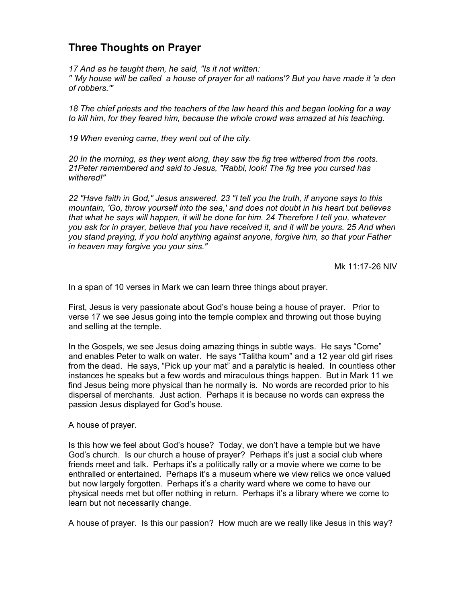## **Three Thoughts on Prayer**

*17 And as he taught them, he said, "Is it not written:* 

*" 'My house will be called a house of prayer for all nations'? But you have made it 'a den of robbers.'"* 

*18 The chief priests and the teachers of the law heard this and began looking for a way to kill him, for they feared him, because the whole crowd was amazed at his teaching.* 

*19 When evening came, they went out of the city.* 

*20 In the morning, as they went along, they saw the fig tree withered from the roots. 21Peter remembered and said to Jesus, "Rabbi, look! The fig tree you cursed has withered!"* 

*22 "Have faith in God," Jesus answered. 23 "I tell you the truth, if anyone says to this mountain, 'Go, throw yourself into the sea,' and does not doubt in his heart but believes that what he says will happen, it will be done for him. 24 Therefore I tell you, whatever you ask for in prayer, believe that you have received it, and it will be yours. 25 And when you stand praying, if you hold anything against anyone, forgive him, so that your Father in heaven may forgive you your sins."* 

Mk 11:17-26 NIV

In a span of 10 verses in Mark we can learn three things about prayer.

First, Jesus is very passionate about God's house being a house of prayer. Prior to verse 17 we see Jesus going into the temple complex and throwing out those buying and selling at the temple.

In the Gospels, we see Jesus doing amazing things in subtle ways. He says "Come" and enables Peter to walk on water. He says "Talitha koum" and a 12 year old girl rises from the dead. He says, "Pick up your mat" and a paralytic is healed. In countless other instances he speaks but a few words and miraculous things happen. But in Mark 11 we find Jesus being more physical than he normally is. No words are recorded prior to his dispersal of merchants. Just action. Perhaps it is because no words can express the passion Jesus displayed for God's house.

A house of prayer.

Is this how we feel about God's house? Today, we don't have a temple but we have God's church. Is our church a house of prayer? Perhaps it's just a social club where friends meet and talk. Perhaps it's a politically rally or a movie where we come to be enthralled or entertained. Perhaps it's a museum where we view relics we once valued but now largely forgotten. Perhaps it's a charity ward where we come to have our physical needs met but offer nothing in return. Perhaps it's a library where we come to learn but not necessarily change.

A house of prayer. Is this our passion? How much are we really like Jesus in this way?